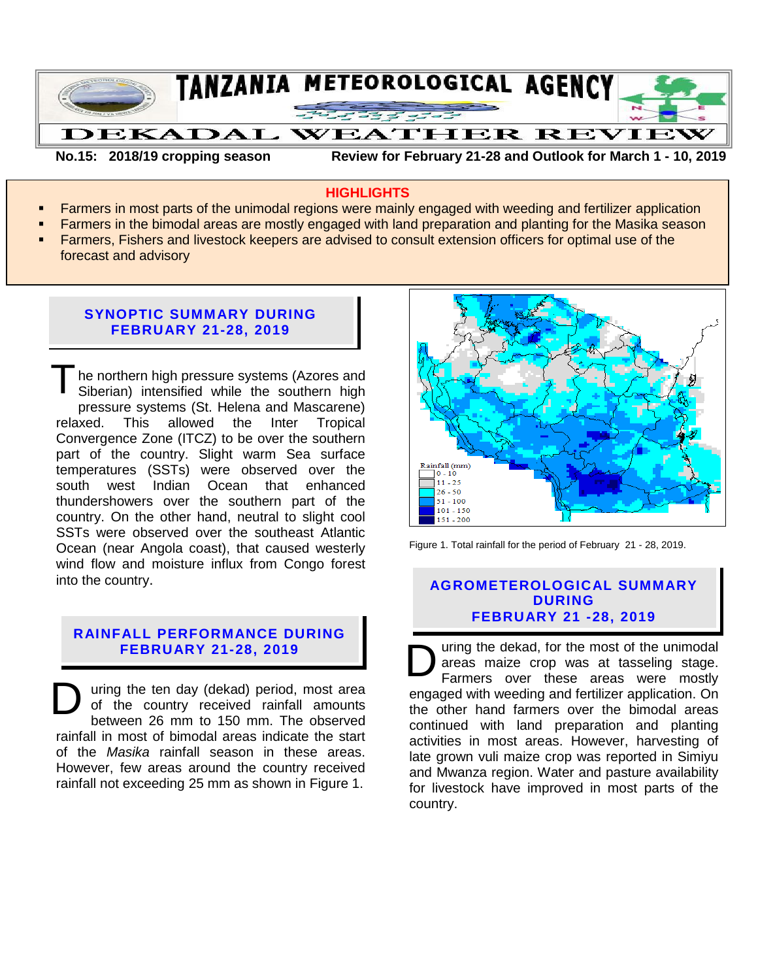

**No.15: 2018/19 cropping season Review for February 21-28 and Outlook for March 1 - 10, 2019**

#### **HIGHLIGHTS**

- Farmers in most parts of the unimodal regions were mainly engaged with weeding and fertilizer application
- **Farmers in the bimodal areas are mostly engaged with land preparation and planting for the Masika season**
- Farmers, Fishers and livestock keepers are advised to consult extension officers for optimal use of the forecast and advisory

### **SYNOPTIC SUMMARY DURING FEBRUARY 21-28, 2019**

he northern high pressure systems (Azores and Siberian) intensified while the southern high pressure systems (St. Helena and Mascarene) relaxed. This allowed the Inter Tropical Convergence Zone (ITCZ) to be over the southern part of the country. Slight warm Sea surface temperatures (SSTs) were observed over the south west Indian Ocean that enhanced thundershowers over the southern part of the country. On the other hand, neutral to slight cool SSTs were observed over the southeast Atlantic Ocean (near Angola coast), that caused westerly wind flow and moisture influx from Congo forest into the country. T

# **RAINFALL PERFORMANCE DURING FEBRUARY 21-28, 2019**

uring the ten day (dekad) period, most area of the country received rainfall amounts between 26 mm to 150 mm. The observed rainfall in most of bimodal areas indicate the start of the *Masika* rainfall season in these areas. However, few areas around the country received rainfall not exceeding 25 mm as shown in Figure 1. D



Figure 1. Total rainfall for the period of February 21 - 28, 2019.

### **AGROMETEROLOGICAL SUMMARY DURING FEBRUARY 21 -28, 2019**

uring the dekad, for the most of the unimodal areas maize crop was at tasseling stage. Farmers over these areas were mostly engaged with weeding and fertilizer application. On the other hand farmers over the bimodal areas continued with land preparation and planting activities in most areas. However, harvesting of late grown vuli maize crop was reported in Simiyu and Mwanza region. Water and pasture availability for livestock have improved in most parts of the country. D